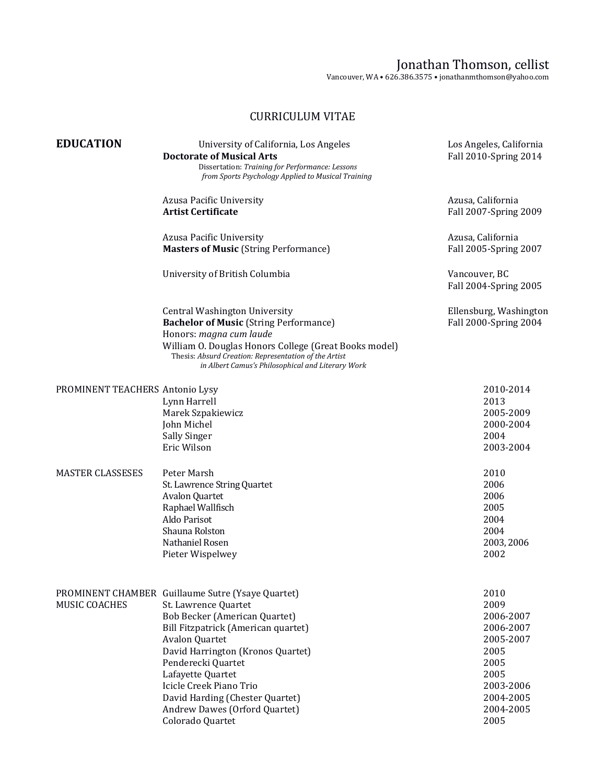## Jonathan Thomson, cellist

Vancouver, WA • 626.386.3575 • jonathanmthomson@yahoo.com

## CURRICULUM VITAE

| <b>EDUCATION</b>                | University of California, Los Angeles<br><b>Doctorate of Musical Arts</b><br>Dissertation: Training for Performance: Lessons<br>from Sports Psychology Applied to Musical Training                                                                                                                                                                                            | Los Angeles, California<br>Fall 2010-Spring 2014                                                                           |
|---------------------------------|-------------------------------------------------------------------------------------------------------------------------------------------------------------------------------------------------------------------------------------------------------------------------------------------------------------------------------------------------------------------------------|----------------------------------------------------------------------------------------------------------------------------|
|                                 | Azusa Pacific University<br><b>Artist Certificate</b>                                                                                                                                                                                                                                                                                                                         | Azusa, California<br>Fall 2007-Spring 2009                                                                                 |
|                                 | Azusa Pacific University<br><b>Masters of Music (String Performance)</b>                                                                                                                                                                                                                                                                                                      | Azusa, California<br>Fall 2005-Spring 2007                                                                                 |
|                                 | University of British Columbia                                                                                                                                                                                                                                                                                                                                                | Vancouver, BC<br>Fall 2004-Spring 2005                                                                                     |
|                                 | <b>Central Washington University</b><br><b>Bachelor of Music (String Performance)</b><br>Honors: magna cum laude<br>William O. Douglas Honors College (Great Books model)<br>Thesis: Absurd Creation: Representation of the Artist<br>in Albert Camus's Philosophical and Literary Work                                                                                       | Ellensburg, Washington<br>Fall 2000-Spring 2004                                                                            |
| PROMINENT TEACHERS Antonio Lysy | Lynn Harrell<br>Marek Szpakiewicz<br>John Michel<br>Sally Singer<br>Eric Wilson                                                                                                                                                                                                                                                                                               | 2010-2014<br>2013<br>2005-2009<br>2000-2004<br>2004<br>2003-2004                                                           |
| <b>MASTER CLASSESES</b>         | Peter Marsh<br>St. Lawrence String Quartet<br>Avalon Quartet<br>Raphael Wallfisch<br>Aldo Parisot<br>Shauna Rolston<br>Nathaniel Rosen<br>Pieter Wispelwey                                                                                                                                                                                                                    | 2010<br>2006<br>2006<br>2005<br>2004<br>2004<br>2003, 2006<br>2002                                                         |
| MUSIC COACHES                   | PROMINENT CHAMBER Guillaume Sutre (Ysaye Quartet)<br>St. Lawrence Quartet<br><b>Bob Becker (American Quartet)</b><br>Bill Fitzpatrick (American quartet)<br>Avalon Quartet<br>David Harrington (Kronos Quartet)<br>Penderecki Quartet<br>Lafayette Quartet<br>Icicle Creek Piano Trio<br>David Harding (Chester Quartet)<br>Andrew Dawes (Orford Quartet)<br>Colorado Quartet | 2010<br>2009<br>2006-2007<br>2006-2007<br>2005-2007<br>2005<br>2005<br>2005<br>2003-2006<br>2004-2005<br>2004-2005<br>2005 |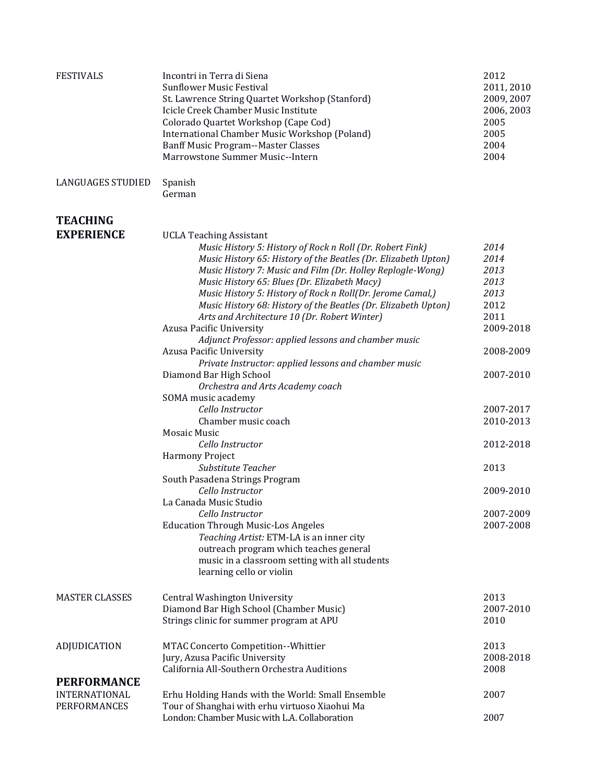| <b>FESTIVALS</b>         | Incontri in Terra di Siena<br><b>Sunflower Music Festival</b>  | 2012<br>2011, 2010 |
|--------------------------|----------------------------------------------------------------|--------------------|
|                          | St. Lawrence String Quartet Workshop (Stanford)                | 2009, 2007         |
|                          | Icicle Creek Chamber Music Institute                           | 2006, 2003         |
|                          | Colorado Quartet Workshop (Cape Cod)                           | 2005               |
|                          | International Chamber Music Workshop (Poland)                  | 2005               |
|                          | <b>Banff Music Program--Master Classes</b>                     | 2004               |
|                          | Marrowstone Summer Music--Intern                               | 2004               |
|                          |                                                                |                    |
| <b>LANGUAGES STUDIED</b> | Spanish<br>German                                              |                    |
|                          |                                                                |                    |
| <b>TEACHING</b>          |                                                                |                    |
| <b>EXPERIENCE</b>        | <b>UCLA Teaching Assistant</b>                                 |                    |
|                          | Music History 5: History of Rock n Roll (Dr. Robert Fink)      | 2014               |
|                          | Music History 65: History of the Beatles (Dr. Elizabeth Upton) | 2014               |
|                          | Music History 7: Music and Film (Dr. Holley Replogle-Wong)     | 2013               |
|                          | Music History 65: Blues (Dr. Elizabeth Macy)                   | 2013               |
|                          | Music History 5: History of Rock n Roll(Dr. Jerome Camal,)     | 2013               |
|                          | Music History 68: History of the Beatles (Dr. Elizabeth Upton) | 2012               |
|                          | Arts and Architecture 10 (Dr. Robert Winter)                   | 2011               |
|                          | Azusa Pacific University                                       | 2009-2018          |
|                          | Adjunct Professor: applied lessons and chamber music           |                    |
|                          | Azusa Pacific University                                       | 2008-2009          |
|                          | Private Instructor: applied lessons and chamber music          |                    |
|                          | Diamond Bar High School                                        | 2007-2010          |
|                          | Orchestra and Arts Academy coach                               |                    |
|                          | SOMA music academy                                             |                    |
|                          | Cello Instructor                                               | 2007-2017          |
|                          | Chamber music coach                                            | 2010-2013          |
|                          | Mosaic Music                                                   |                    |
|                          | Cello Instructor                                               | 2012-2018          |
|                          | Harmony Project                                                |                    |
|                          | Substitute Teacher                                             | 2013               |
|                          | South Pasadena Strings Program                                 |                    |
|                          | Cello Instructor                                               | 2009-2010          |
|                          | La Canada Music Studio                                         |                    |
|                          | Cello Instructor                                               | 2007-2009          |
|                          | <b>Education Through Music-Los Angeles</b>                     | 2007-2008          |
|                          | Teaching Artist: ETM-LA is an inner city                       |                    |
|                          | outreach program which teaches general                         |                    |
|                          | music in a classroom setting with all students                 |                    |
|                          | learning cello or violin                                       |                    |
| <b>MASTER CLASSES</b>    | Central Washington University                                  | 2013               |
|                          | Diamond Bar High School (Chamber Music)                        | 2007-2010          |
|                          |                                                                | 2010               |
|                          | Strings clinic for summer program at APU                       |                    |
| ADJUDICATION             | MTAC Concerto Competition--Whittier                            | 2013               |
|                          | Jury, Azusa Pacific University                                 | 2008-2018          |
|                          | California All-Southern Orchestra Auditions                    | 2008               |
| <b>PERFORMANCE</b>       |                                                                |                    |
| INTERNATIONAL            | Erhu Holding Hands with the World: Small Ensemble              | 2007               |
| <b>PERFORMANCES</b>      | Tour of Shanghai with erhu virtuoso Xiaohui Ma                 |                    |
|                          | London: Chamber Music with L.A. Collaboration                  | 2007               |
|                          |                                                                |                    |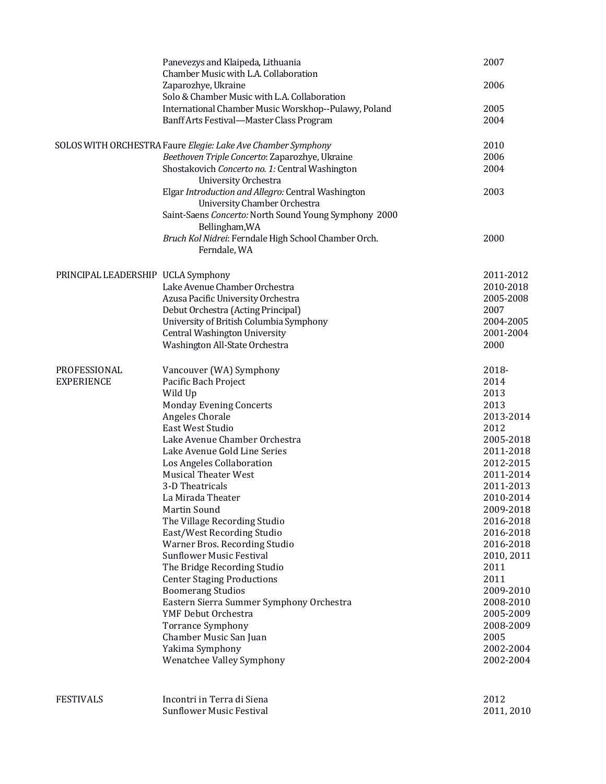|                                    | Panevezys and Klaipeda, Lithuania<br>Chamber Music with L.A. Collaboration         | 2007       |
|------------------------------------|------------------------------------------------------------------------------------|------------|
|                                    | Zaparozhye, Ukraine                                                                | 2006       |
|                                    | Solo & Chamber Music with L.A. Collaboration                                       |            |
|                                    | International Chamber Music Worskhop--Pulawy, Poland                               | 2005       |
|                                    | Banff Arts Festival-Master Class Program                                           | 2004       |
|                                    | SOLOS WITH ORCHESTRA Faure Elegie: Lake Ave Chamber Symphony                       | 2010       |
|                                    | Beethoven Triple Concerto: Zaparozhye, Ukraine                                     | 2006       |
|                                    | Shostakovich Concerto no. 1: Central Washington<br>University Orchestra            | 2004       |
|                                    | Elgar Introduction and Allegro: Central Washington<br>University Chamber Orchestra | 2003       |
|                                    | Saint-Saens Concerto: North Sound Young Symphony 2000<br>Bellingham, WA            |            |
|                                    | Bruch Kol Nidrei: Ferndale High School Chamber Orch.<br>Ferndale, WA               | 2000       |
| PRINCIPAL LEADERSHIP UCLA Symphony |                                                                                    | 2011-2012  |
|                                    | Lake Avenue Chamber Orchestra                                                      | 2010-2018  |
|                                    | Azusa Pacific University Orchestra                                                 | 2005-2008  |
|                                    | Debut Orchestra (Acting Principal)                                                 | 2007       |
|                                    | University of British Columbia Symphony                                            | 2004-2005  |
|                                    | Central Washington University                                                      | 2001-2004  |
|                                    | Washington All-State Orchestra                                                     | 2000       |
| PROFESSIONAL                       | Vancouver (WA) Symphony                                                            | 2018-      |
| <b>EXPERIENCE</b>                  | Pacific Bach Project                                                               | 2014       |
|                                    | Wild Up                                                                            | 2013       |
|                                    | <b>Monday Evening Concerts</b>                                                     | 2013       |
|                                    | Angeles Chorale                                                                    | 2013-2014  |
|                                    | East West Studio                                                                   | 2012       |
|                                    | Lake Avenue Chamber Orchestra                                                      | 2005-2018  |
|                                    | Lake Avenue Gold Line Series                                                       | 2011-2018  |
|                                    | Los Angeles Collaboration                                                          | 2012-2015  |
|                                    | <b>Musical Theater West</b>                                                        | 2011-2014  |
|                                    | 3-D Theatricals                                                                    | 2011-2013  |
|                                    | La Mirada Theater                                                                  | 2010-2014  |
|                                    | Martin Sound                                                                       | 2009-2018  |
|                                    | The Village Recording Studio                                                       | 2016-2018  |
|                                    | East/West Recording Studio                                                         | 2016-2018  |
|                                    | Warner Bros. Recording Studio                                                      | 2016-2018  |
|                                    | <b>Sunflower Music Festival</b>                                                    | 2010, 2011 |
|                                    | The Bridge Recording Studio                                                        | 2011       |
|                                    | <b>Center Staging Productions</b>                                                  | 2011       |
|                                    | <b>Boomerang Studios</b>                                                           | 2009-2010  |
|                                    | Eastern Sierra Summer Symphony Orchestra                                           | 2008-2010  |
|                                    | YMF Debut Orchestra                                                                | 2005-2009  |
|                                    | <b>Torrance Symphony</b>                                                           | 2008-2009  |
|                                    | Chamber Music San Juan                                                             | 2005       |
|                                    | Yakima Symphony                                                                    | 2002-2004  |
|                                    | Wenatchee Valley Symphony                                                          | 2002-2004  |
| <b>FESTIVALS</b>                   | Incontri in Terra di Siena                                                         | 2012       |
|                                    | <b>Sunflower Music Festival</b>                                                    |            |
|                                    |                                                                                    | 2011, 2010 |